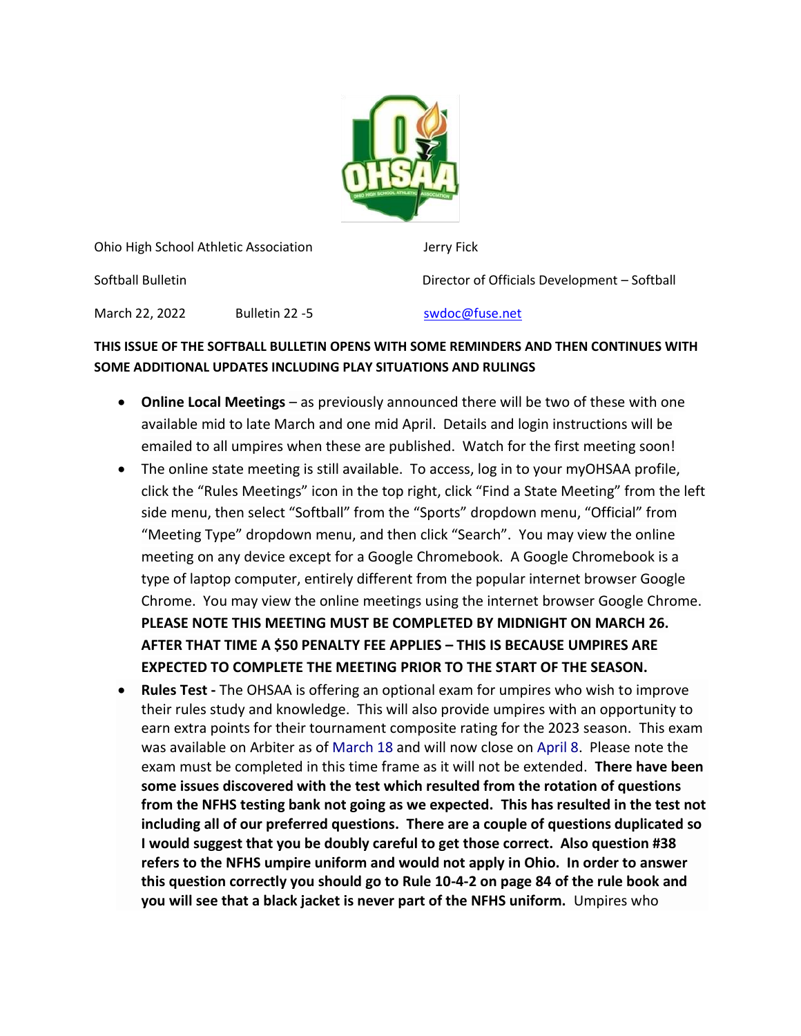

Ohio High School Athletic Association Jerry Fick

Softball Bulletin Director of Officials Development – Softball

March 22, 2022 Bulletin 22 -5 [swdoc@fuse.net](mailto:swdoc@fuse.net)

## **THIS ISSUE OF THE SOFTBALL BULLETIN OPENS WITH SOME REMINDERS AND THEN CONTINUES WITH SOME ADDITIONAL UPDATES INCLUDING PLAY SITUATIONS AND RULINGS**

- **Online Local Meetings** as previously announced there will be two of these with one available mid to late March and one mid April. Details and login instructions will be emailed to all umpires when these are published. Watch for the first meeting soon!
- The online state meeting is still available. To access, log in to your myOHSAA profile, click the "Rules Meetings" icon in the top right, click "Find a State Meeting" from the left side menu, then select "Softball" from the "Sports" dropdown menu, "Official" from "Meeting Type" dropdown menu, and then click "Search". You may view the online meeting on any device except for a Google Chromebook. A Google Chromebook is a type of laptop computer, entirely different from the popular internet browser Google Chrome. You may view the online meetings using the internet browser Google Chrome. **PLEASE NOTE THIS MEETING MUST BE COMPLETED BY MIDNIGHT ON MARCH 26. AFTER THAT TIME A \$50 PENALTY FEE APPLIES – THIS IS BECAUSE UMPIRES ARE EXPECTED TO COMPLETE THE MEETING PRIOR TO THE START OF THE SEASON.**
- **Rules Test -** The OHSAA is offering an optional exam for umpires who wish to improve their rules study and knowledge. This will also provide umpires with an opportunity to earn extra points for their tournament composite rating for the 2023 season. This exam was available on Arbiter as of March 18 and will now close on April 8. Please note the exam must be completed in this time frame as it will not be extended. **There have been some issues discovered with the test which resulted from the rotation of questions from the NFHS testing bank not going as we expected. This has resulted in the test not including all of our preferred questions. There are a couple of questions duplicated so I would suggest that you be doubly careful to get those correct. Also question #38 refers to the NFHS umpire uniform and would not apply in Ohio. In order to answer this question correctly you should go to Rule 10-4-2 on page 84 of the rule book and you will see that a black jacket is never part of the NFHS uniform.** Umpires who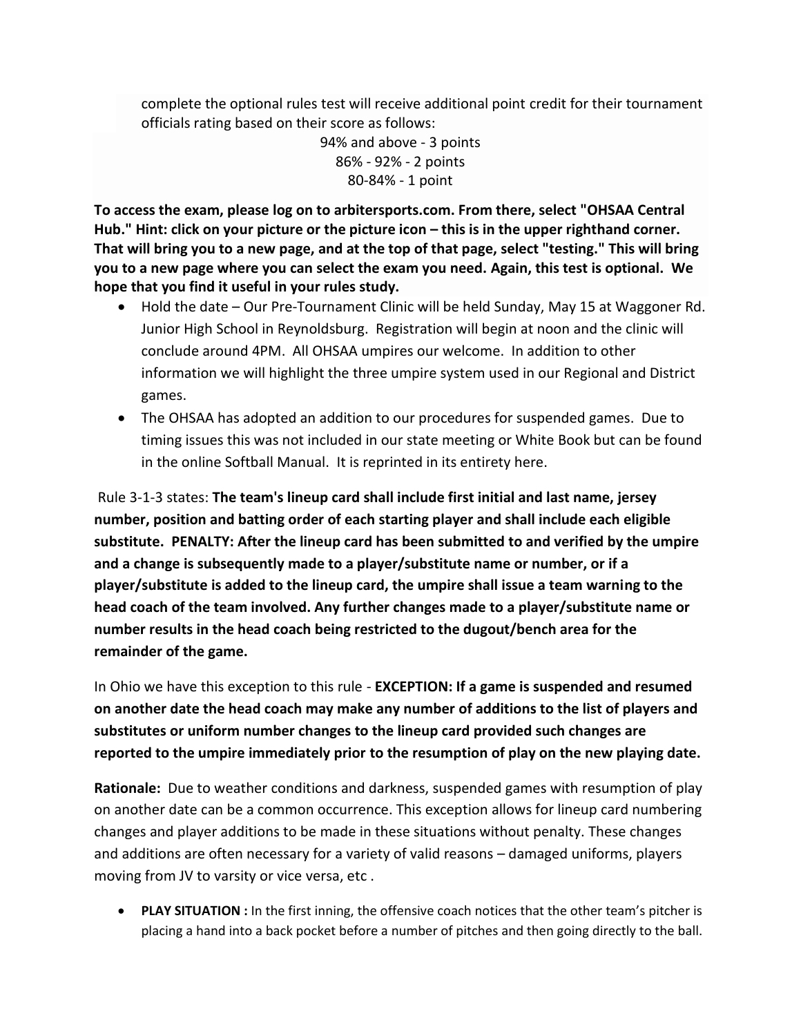complete the optional rules test will receive additional point credit for their tournament officials rating based on their score as follows:

> 94% and above - 3 points 86% - 92% - 2 points 80-84% - 1 point

**To access the exam, please log on to arbitersports.com. From there, select "OHSAA Central**  Hub." Hint: click on your picture or the picture icon – this is in the upper righthand corner. **That will bring you to a new page, and at the top of that page, select "testing." This will bring you to a new page where you can select the exam you need. Again, this test is optional. We hope that you find it useful in your rules study.**

- Hold the date Our Pre-Tournament Clinic will be held Sunday, May 15 at Waggoner Rd. Junior High School in Reynoldsburg. Registration will begin at noon and the clinic will conclude around 4PM. All OHSAA umpires our welcome. In addition to other information we will highlight the three umpire system used in our Regional and District games.
- The OHSAA has adopted an addition to our procedures for suspended games. Due to timing issues this was not included in our state meeting or White Book but can be found in the online Softball Manual. It is reprinted in its entirety here.

Rule 3-1-3 states: **The team's lineup card shall include first initial and last name, jersey number, position and batting order of each starting player and shall include each eligible substitute. PENALTY: After the lineup card has been submitted to and verified by the umpire and a change is subsequently made to a player/substitute name or number, or if a player/substitute is added to the lineup card, the umpire shall issue a team warning to the head coach of the team involved. Any further changes made to a player/substitute name or number results in the head coach being restricted to the dugout/bench area for the remainder of the game.**

In Ohio we have this exception to this rule - **EXCEPTION: If a game is suspended and resumed on another date the head coach may make any number of additions to the list of players and substitutes or uniform number changes to the lineup card provided such changes are reported to the umpire immediately prior to the resumption of play on the new playing date.**

**Rationale:** Due to weather conditions and darkness, suspended games with resumption of play on another date can be a common occurrence. This exception allows for lineup card numbering changes and player additions to be made in these situations without penalty. These changes and additions are often necessary for a variety of valid reasons – damaged uniforms, players moving from JV to varsity or vice versa, etc .

• **PLAY SITUATION :** In the first inning, the offensive coach notices that the other team's pitcher is placing a hand into a back pocket before a number of pitches and then going directly to the ball.